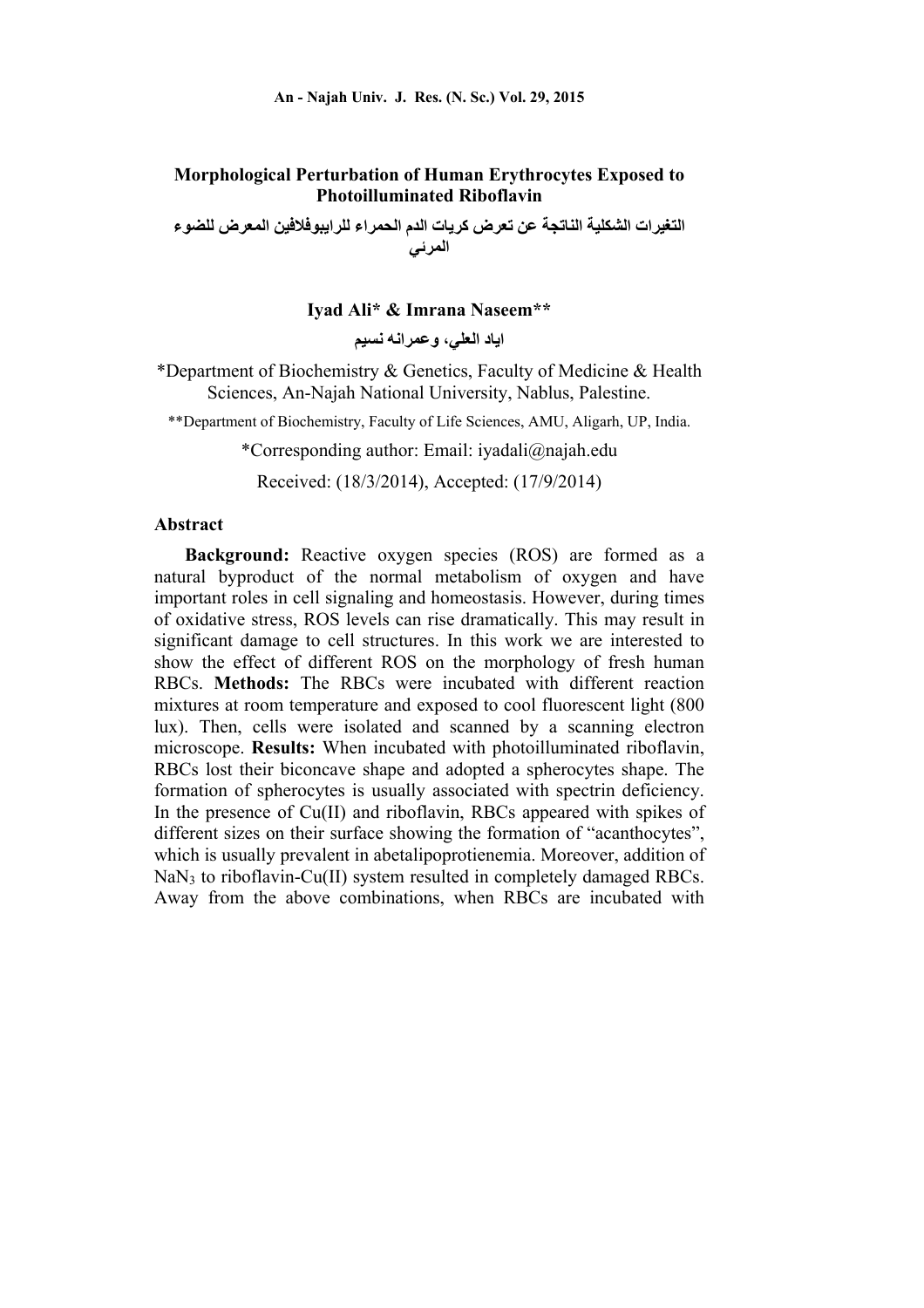# **Morphological Perturbation of Human Erythrocytes Exposed to Photoilluminated Riboflavin**

**التغيرات الشكلية الناتجة عن تعرض كريات الدم الحمراء للرايبوفالفين المعرض للضوء المرئي** 

### **Iyad Ali\* & Imrana Naseem\*\***

**اياد العلي، وعمرانه نسيم** 

\*Department of Biochemistry & Genetics, Faculty of Medicine & Health Sciences, An-Najah National University, Nablus, Palestine.

\*\*Department of Biochemistry, Faculty of Life Sciences, AMU, Aligarh, UP, India.

\*Corresponding author: Email: iyadali@najah.edu

Received: (18/3/2014), Accepted: (17/9/2014)

#### **Abstract**

**Background:** Reactive oxygen species (ROS) are formed as a natural byproduct of the normal metabolism of oxygen and have important roles in cell signaling and homeostasis. However, during times of oxidative stress, ROS levels can rise dramatically. This may result in significant damage to cell structures. In this work we are interested to show the effect of different ROS on the morphology of fresh human RBCs. **Methods:** The RBCs were incubated with different reaction mixtures at room temperature and exposed to cool fluorescent light (800 lux). Then, cells were isolated and scanned by a scanning electron microscope. **Results:** When incubated with photoilluminated riboflavin, RBCs lost their biconcave shape and adopted a spherocytes shape. The formation of spherocytes is usually associated with spectrin deficiency. In the presence of Cu(II) and riboflavin, RBCs appeared with spikes of different sizes on their surface showing the formation of "acanthocytes", which is usually prevalent in abetalipoprotienemia. Moreover, addition of NaN3 to riboflavin-Cu(II) system resulted in completely damaged RBCs. Away from the above combinations, when RBCs are incubated with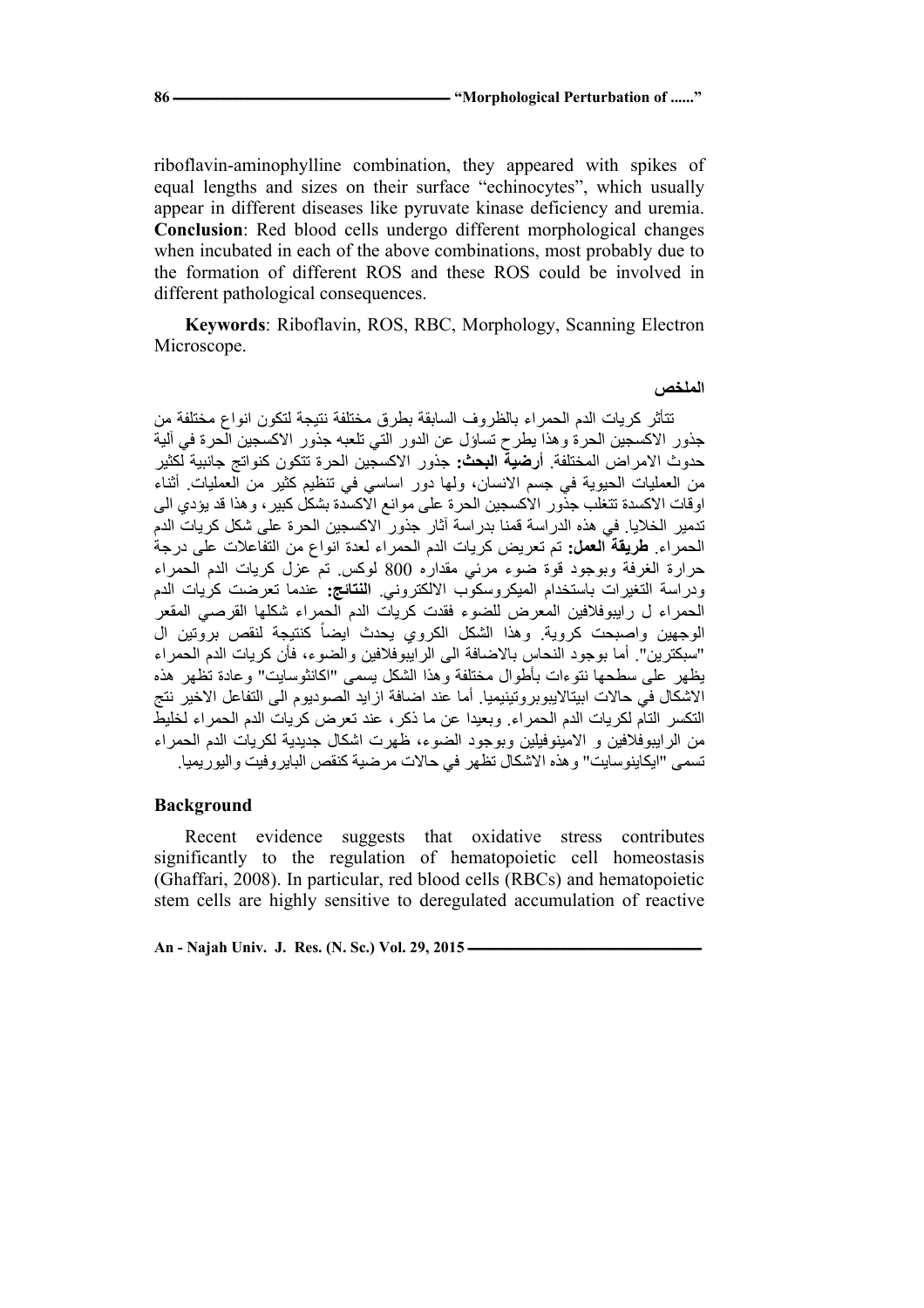riboflavin-aminophylline combination, they appeared with spikes of equal lengths and sizes on their surface "echinocytes", which usually appear in different diseases like pyruvate kinase deficiency and uremia. **Conclusion**: Red blood cells undergo different morphological changes when incubated in each of the above combinations, most probably due to the formation of different ROS and these ROS could be involved in different pathological consequences.

**Keywords**: Riboflavin, ROS, RBC, Morphology, Scanning Electron Microscope.

#### **الملخص**

تتأثر كريات الدم الحمراء بالظروف السابقة بطرق مختلفة نتيجة لتكون انواع مختلفة من جذور االكسجين الحرة وھذا يطرح تساؤل عن الدور التي تلعبه جذور االكسجين الحرة في آلية حدوث االمراض المختلفة. **أرضية البحث:** جذور االكسجين الحرة تتكون كنواتج جانبية لكثير من العمليات الحيوية في جسم االنسان، ولھا دور اساسي في تنظيم كثير من العمليات. أثناء اوقات االكسدة تتغلب جذور االكسجين الحرة على موانع االكسدة بشكل كبير، وھذا قد يؤدي الى تدمير الخاليا. في ھذه الدراسة قمنا بدراسة آثار جذور االكسجين الحرة على شكل كريات الدم الحمراء. **طريقة العمل:** تم تعريض كريات الدم الحمراء لعدة انواع من التفاعالت على درجة حرارة الغرفة وبوجود قوة ضوء مرئي مقداره 800 لوكس. تم عزل كريات الدم الحمراء ودراسة التغيرات باستخدام الميكروسكوب االلكتروني. **النتائج:** عندما تعرضت كريات الدم الحمراء ل رايبوفالفين المعرض للضوء فقدت كريات الدم الحمراء شكلھا القرصي المقعر الوجهين واصبحت كروية. وهذا الشكل الكروي يحدث ايضاً كنتيجة لنقص بروتين ال "سبكترين". أما بوجود النحاس باالضافة الى الرايبوفالفين والضوء، فأن كريات الدم الحمراء يظھر على سطحھا نتوءات بأطوال مختلفة وھذا الشكل يسمى "اكانثوسايت" وعادة تظھر ھذه االشكال في حاالت ابيتااليبوبروتينيميا. أما عند اضافة ازايد الصوديوم الى التفاعل االخير نتج التكسر التام لكريات الدم الحمراء. وبعيدا عن ما ذكر، عند تعرض كريات الدم الحمراء لخليط من الرايبوفالفين و االمينوفيلين وبوجود الضوء، ظھرت اشكال جديدية لكريات الدم الحمراء تسمى "ايكاينوسايت" وھذه االشكال تظھر في حاالت مرضية كنقص البايروفيت واليوريميا.

#### **Background**

Recent evidence suggests that oxidative stress contributes significantly to the regulation of hematopoietic cell homeostasis (Ghaffari, 2008). In particular, red blood cells (RBCs) and hematopoietic stem cells are highly sensitive to deregulated accumulation of reactive

An - Najah Univ. J. Res. (N. Sc.) Vol. 29, 2015 -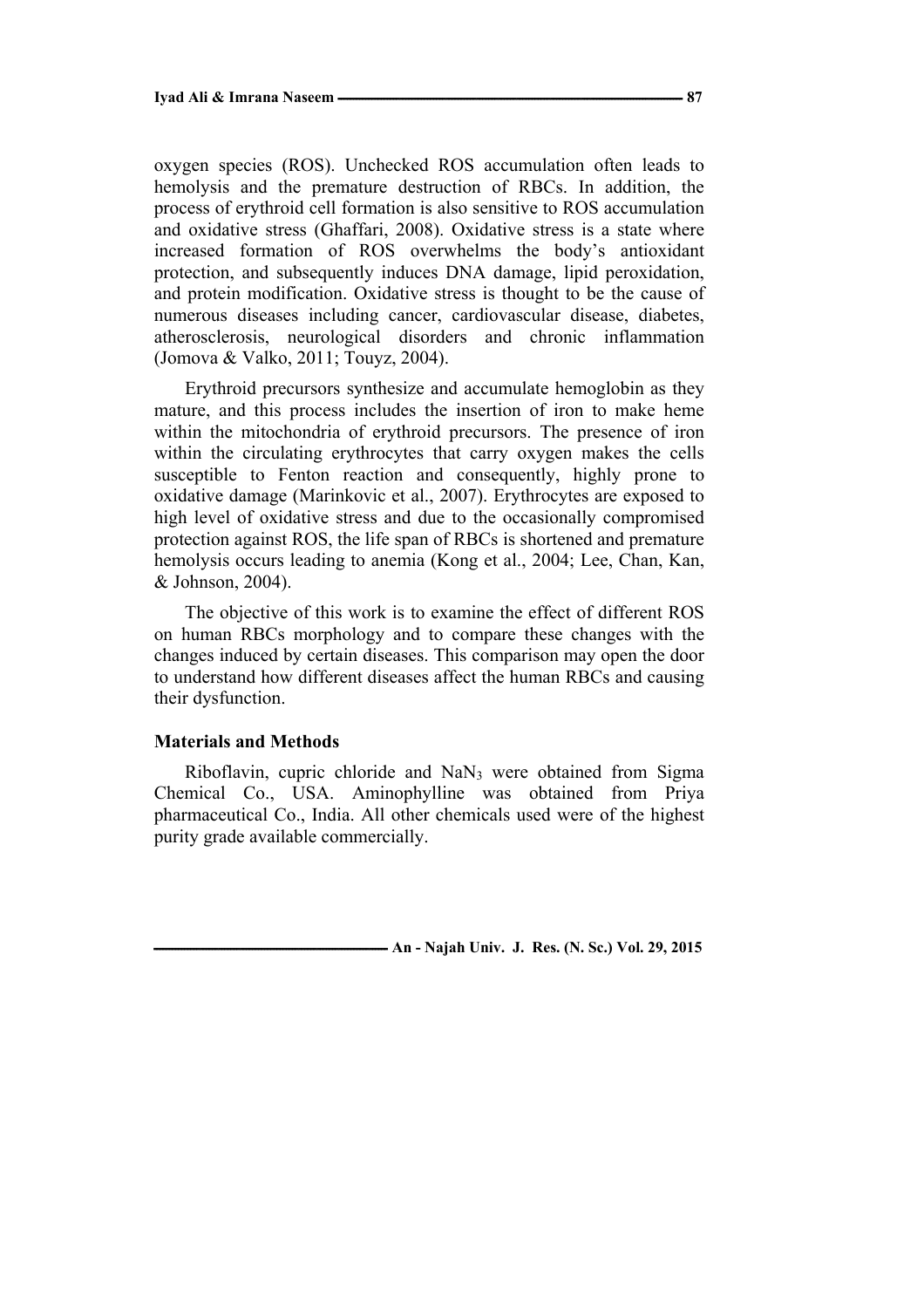oxygen species (ROS). Unchecked ROS accumulation often leads to hemolysis and the premature destruction of RBCs. In addition, the process of erythroid cell formation is also sensitive to ROS accumulation and oxidative stress (Ghaffari, 2008). Oxidative stress is a state where increased formation of ROS overwhelms the body's antioxidant protection, and subsequently induces DNA damage, lipid peroxidation, and protein modification. Oxidative stress is thought to be the cause of numerous diseases including cancer, cardiovascular disease, diabetes, atherosclerosis, neurological disorders and chronic inflammation (Jomova & Valko, 2011; Touyz, 2004).

Erythroid precursors synthesize and accumulate hemoglobin as they mature, and this process includes the insertion of iron to make heme within the mitochondria of erythroid precursors. The presence of iron within the circulating erythrocytes that carry oxygen makes the cells susceptible to Fenton reaction and consequently, highly prone to oxidative damage (Marinkovic et al., 2007). Erythrocytes are exposed to high level of oxidative stress and due to the occasionally compromised protection against ROS, the life span of RBCs is shortened and premature hemolysis occurs leading to anemia (Kong et al., 2004; Lee, Chan, Kan, & Johnson, 2004).

The objective of this work is to examine the effect of different ROS on human RBCs morphology and to compare these changes with the changes induced by certain diseases. This comparison may open the door to understand how different diseases affect the human RBCs and causing their dysfunction.

#### **Materials and Methods**

Riboflavin, cupric chloride and NaN3 were obtained from Sigma Chemical Co., USA. Aminophylline was obtained from Priya pharmaceutical Co., India. All other chemicals used were of the highest purity grade available commercially.

**-***An* - Najah Univ. J. Res. (N. Sc.) Vol. 29, 2015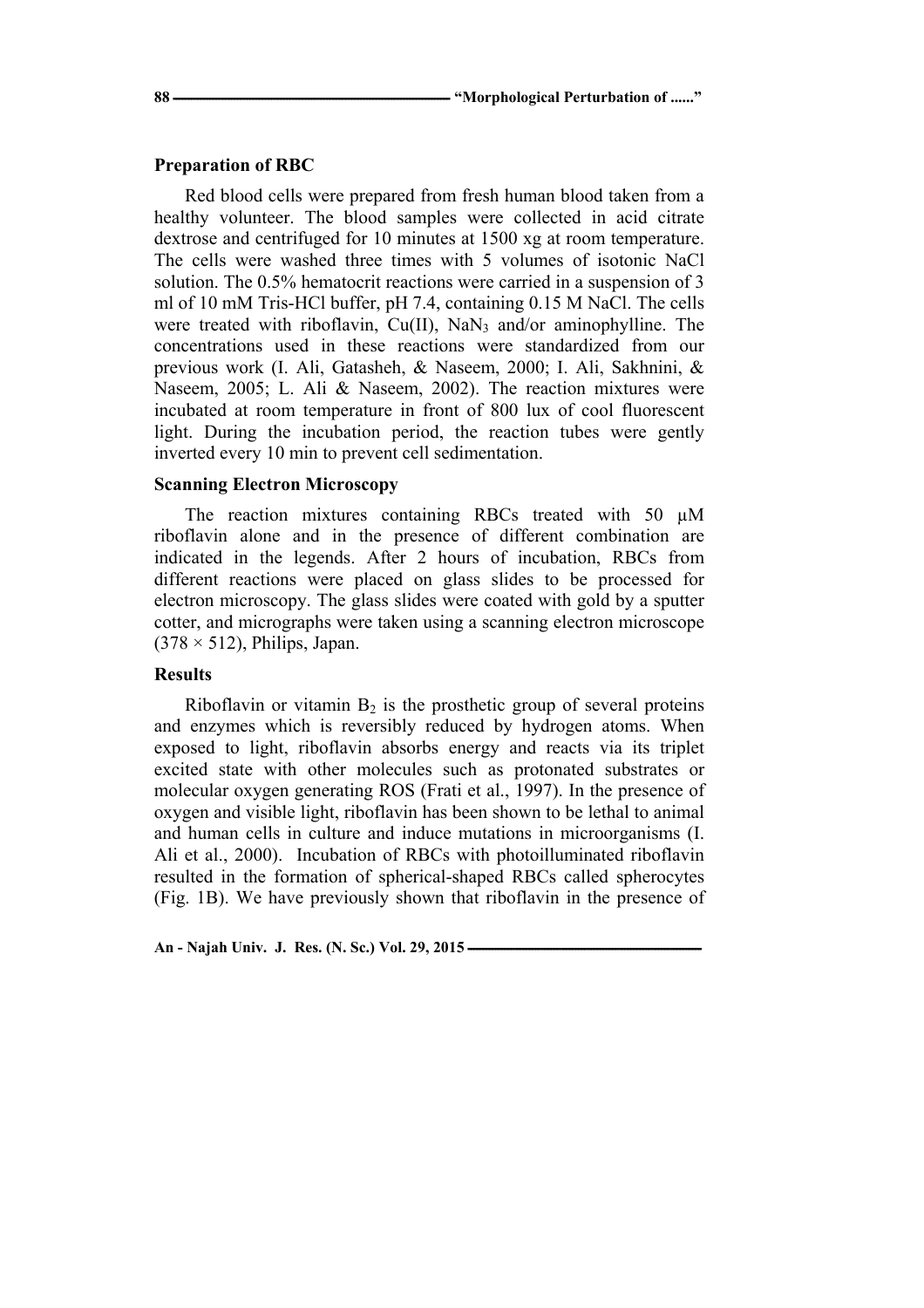#### **Preparation of RBC**

Red blood cells were prepared from fresh human blood taken from a healthy volunteer. The blood samples were collected in acid citrate dextrose and centrifuged for 10 minutes at 1500 xg at room temperature. The cells were washed three times with 5 volumes of isotonic NaCl solution. The 0.5% hematocrit reactions were carried in a suspension of 3 ml of 10 mM Tris-HCl buffer, pH 7.4, containing 0.15 M NaCl. The cells were treated with riboflavin, Cu(II), NaN<sub>3</sub> and/or aminophylline. The concentrations used in these reactions were standardized from our previous work (I. Ali, Gatasheh, & Naseem, 2000; I. Ali, Sakhnini, & Naseem, 2005; L. Ali & Naseem, 2002). The reaction mixtures were incubated at room temperature in front of 800 lux of cool fluorescent light. During the incubation period, the reaction tubes were gently inverted every 10 min to prevent cell sedimentation.

### **Scanning Electron Microscopy**

The reaction mixtures containing RBCs treated with 50  $\mu$ M riboflavin alone and in the presence of different combination are indicated in the legends. After 2 hours of incubation, RBCs from different reactions were placed on glass slides to be processed for electron microscopy. The glass slides were coated with gold by a sputter cotter, and micrographs were taken using a scanning electron microscope  $(378 \times 512)$ , Philips, Japan.

# **Results**

Riboflavin or vitamin  $B_2$  is the prosthetic group of several proteins and enzymes which is reversibly reduced by hydrogen atoms. When exposed to light, riboflavin absorbs energy and reacts via its triplet excited state with other molecules such as protonated substrates or molecular oxygen generating ROS (Frati et al., 1997). In the presence of oxygen and visible light, riboflavin has been shown to be lethal to animal and human cells in culture and induce mutations in microorganisms (I. Ali et al., 2000). Incubation of RBCs with photoilluminated riboflavin resulted in the formation of spherical-shaped RBCs called spherocytes (Fig. 1B). We have previously shown that riboflavin in the presence of

An - Najah Univ. J. Res. (N. Sc.) Vol. 29, 2015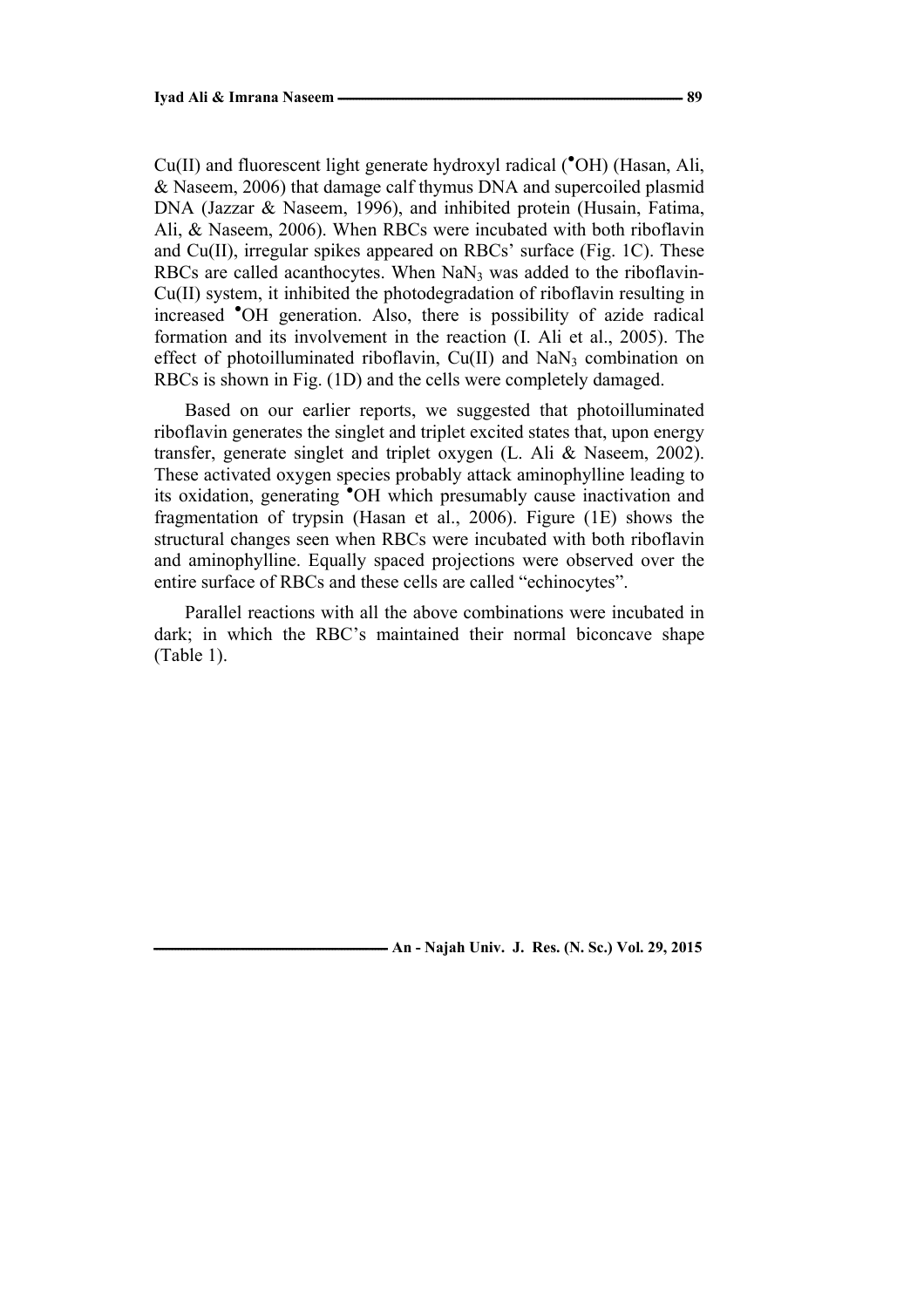Cu(II) and fluorescent light generate hydroxyl radical (<sup>\*</sup>OH) (Hasan, Ali, & Naseem, 2006) that damage calf thymus DNA and supercoiled plasmid DNA (Jazzar & Naseem, 1996), and inhibited protein (Husain, Fatima, Ali, & Naseem, 2006). When RBCs were incubated with both riboflavin and Cu(II), irregular spikes appeared on RBCs' surface (Fig. 1C). These RBCs are called acanthocytes. When  $NaN<sub>3</sub>$  was added to the riboflavin-Cu(II) system, it inhibited the photodegradation of riboflavin resulting in increased ● OH generation. Also, there is possibility of azide radical formation and its involvement in the reaction (I. Ali et al., 2005). The effect of photoilluminated riboflavin,  $Cu(II)$  and  $NaN<sub>3</sub>$  combination on RBCs is shown in Fig. (1D) and the cells were completely damaged.

Based on our earlier reports, we suggested that photoilluminated riboflavin generates the singlet and triplet excited states that, upon energy transfer, generate singlet and triplet oxygen (L. Ali & Naseem, 2002). These activated oxygen species probably attack aminophylline leading to its oxidation, generating ● OH which presumably cause inactivation and fragmentation of trypsin (Hasan et al., 2006). Figure (1E) shows the structural changes seen when RBCs were incubated with both riboflavin and aminophylline. Equally spaced projections were observed over the entire surface of RBCs and these cells are called "echinocytes".

Parallel reactions with all the above combinations were incubated in dark; in which the RBC's maintained their normal biconcave shape (Table 1).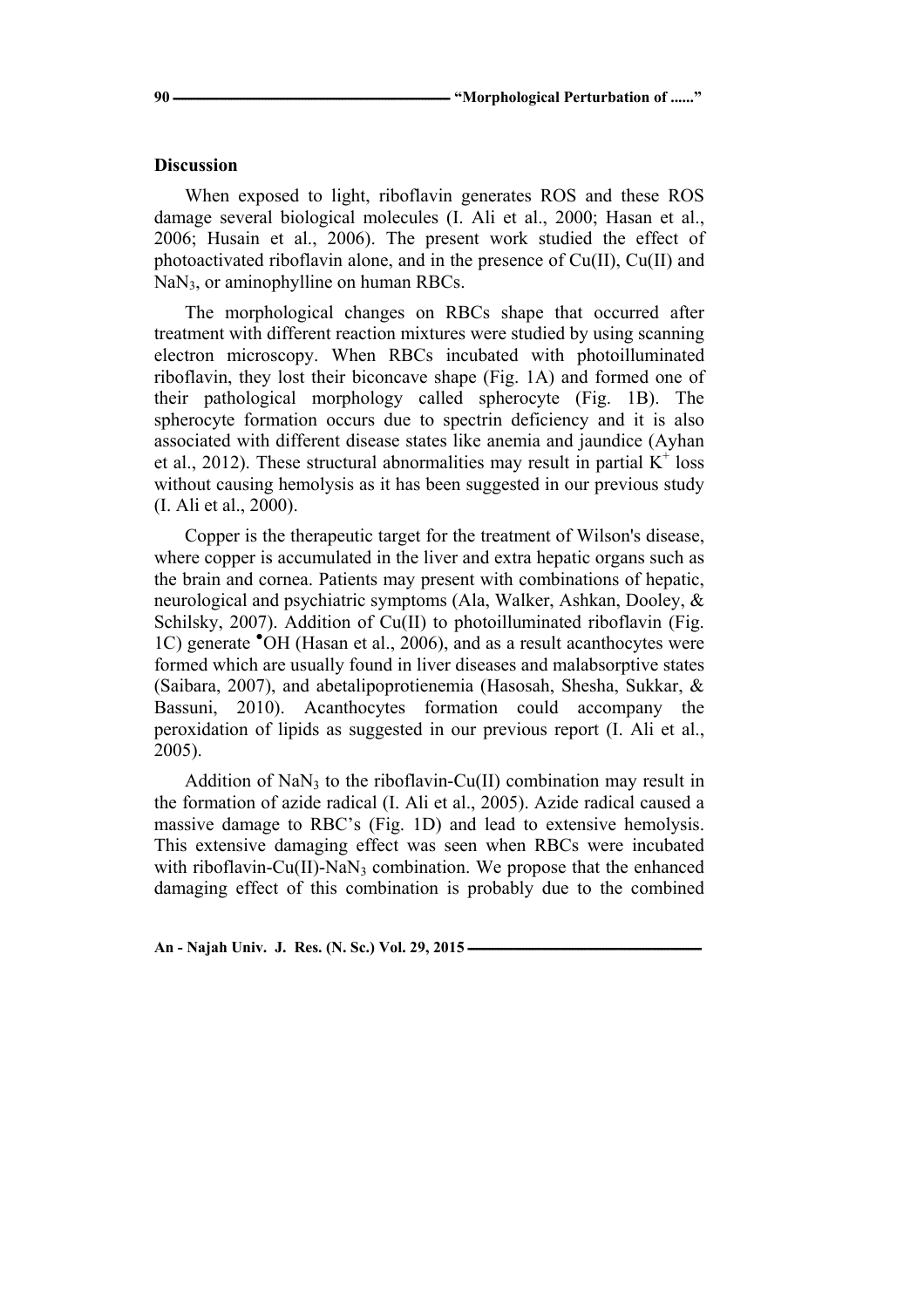#### **Discussion**

When exposed to light, riboflavin generates ROS and these ROS damage several biological molecules (I. Ali et al., 2000; Hasan et al., 2006; Husain et al., 2006). The present work studied the effect of photoactivated riboflavin alone, and in the presence of Cu(II), Cu(II) and NaN<sub>3</sub>, or aminophylline on human RBCs.

The morphological changes on RBCs shape that occurred after treatment with different reaction mixtures were studied by using scanning electron microscopy. When RBCs incubated with photoilluminated riboflavin, they lost their biconcave shape (Fig. 1A) and formed one of their pathological morphology called spherocyte (Fig. 1B). The spherocyte formation occurs due to spectrin deficiency and it is also associated with different disease states like anemia and jaundice (Ayhan et al., 2012). These structural abnormalities may result in partial  $K^+$  loss without causing hemolysis as it has been suggested in our previous study (I. Ali et al., 2000).

Copper is the therapeutic target for the treatment of Wilson's disease, where copper is accumulated in the liver and extra hepatic organs such as the brain and cornea. Patients may present with combinations of hepatic, neurological and psychiatric symptoms (Ala, Walker, Ashkan, Dooley, & Schilsky, 2007). Addition of Cu(II) to photoilluminated riboflavin (Fig. 1C) generate <sup>•</sup>OH (Hasan et al., 2006), and as a result acanthocytes were formed which are usually found in liver diseases and malabsorptive states (Saibara, 2007), and abetalipoprotienemia (Hasosah, Shesha, Sukkar, & Bassuni, 2010). Acanthocytes formation could accompany the peroxidation of lipids as suggested in our previous report (I. Ali et al., 2005).

Addition of  $NaN<sub>3</sub>$  to the riboflavin-Cu(II) combination may result in the formation of azide radical (I. Ali et al., 2005). Azide radical caused a massive damage to RBC's (Fig. 1D) and lead to extensive hemolysis. This extensive damaging effect was seen when RBCs were incubated with riboflavin-Cu(II)-NaN<sub>3</sub> combination. We propose that the enhanced damaging effect of this combination is probably due to the combined

**An - Najah Univ. J. Res. (N. Sc.) Vol. 29, 2015 ــــــــــــــــــــــــــــــــــــــــــــــــــــــــــــــــــــــــــــ**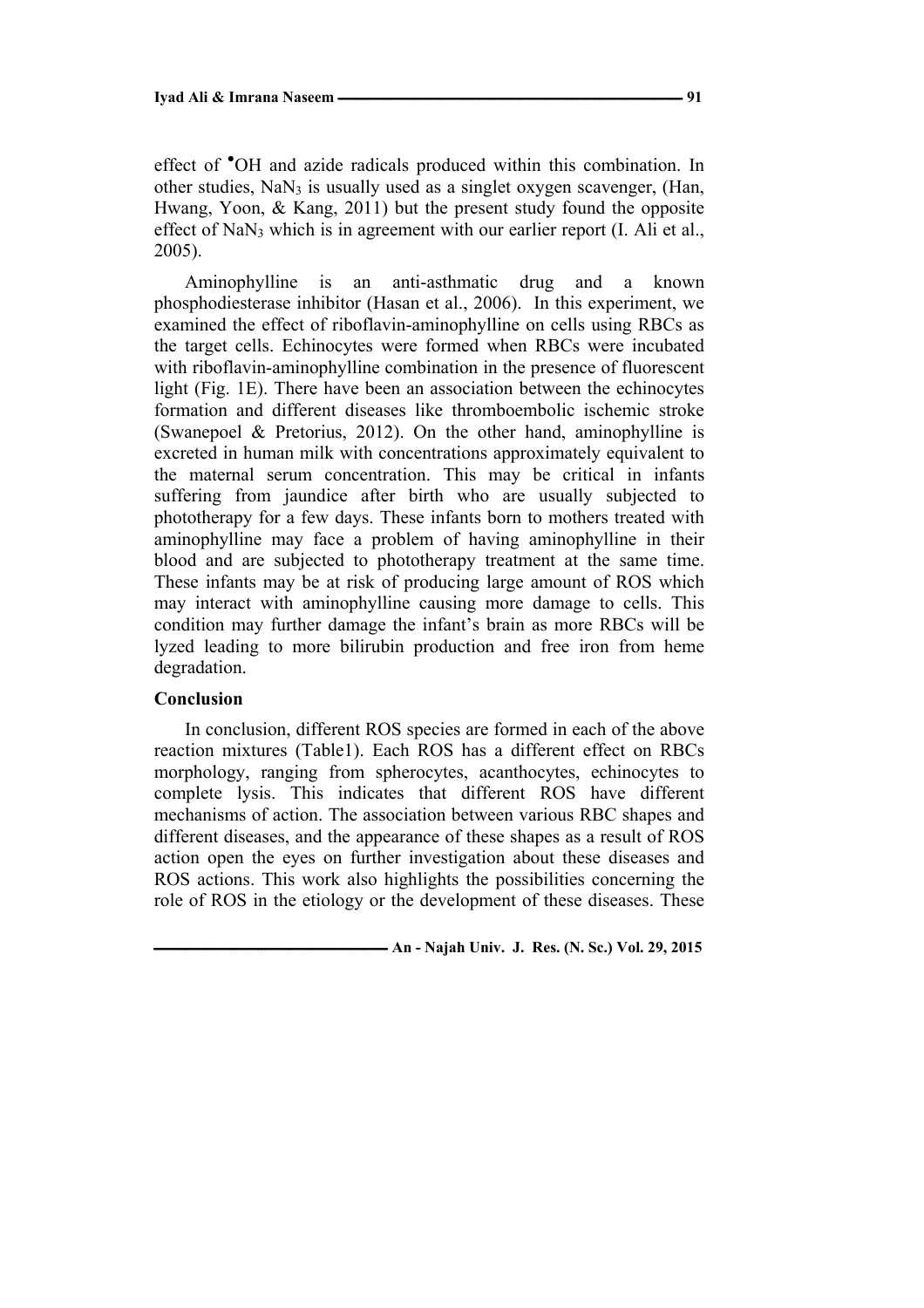effect of <sup>•</sup>OH and azide radicals produced within this combination. In other studies,  $NaN_3$  is usually used as a singlet oxygen scavenger, (Han, Hwang, Yoon, & Kang, 2011) but the present study found the opposite effect of NaN<sub>3</sub> which is in agreement with our earlier report  $(I.$  Ali et al., 2005).

Aminophylline is an anti-asthmatic drug and a known phosphodiesterase inhibitor (Hasan et al., 2006). In this experiment, we examined the effect of riboflavin-aminophylline on cells using RBCs as the target cells. Echinocytes were formed when RBCs were incubated with riboflavin-aminophylline combination in the presence of fluorescent light (Fig. 1E). There have been an association between the echinocytes formation and different diseases like thromboembolic ischemic stroke (Swanepoel & Pretorius, 2012). On the other hand, aminophylline is excreted in human milk with concentrations approximately equivalent to the maternal serum concentration. This may be critical in infants suffering from jaundice after birth who are usually subjected to phototherapy for a few days. These infants born to mothers treated with aminophylline may face a problem of having aminophylline in their blood and are subjected to phototherapy treatment at the same time. These infants may be at risk of producing large amount of ROS which may interact with aminophylline causing more damage to cells. This condition may further damage the infant's brain as more RBCs will be lyzed leading to more bilirubin production and free iron from heme degradation.

### **Conclusion**

In conclusion, different ROS species are formed in each of the above reaction mixtures (Table1). Each ROS has a different effect on RBCs morphology, ranging from spherocytes, acanthocytes, echinocytes to complete lysis. This indicates that different ROS have different mechanisms of action. The association between various RBC shapes and different diseases, and the appearance of these shapes as a result of ROS action open the eyes on further investigation about these diseases and ROS actions. This work also highlights the possibilities concerning the role of ROS in the etiology or the development of these diseases. These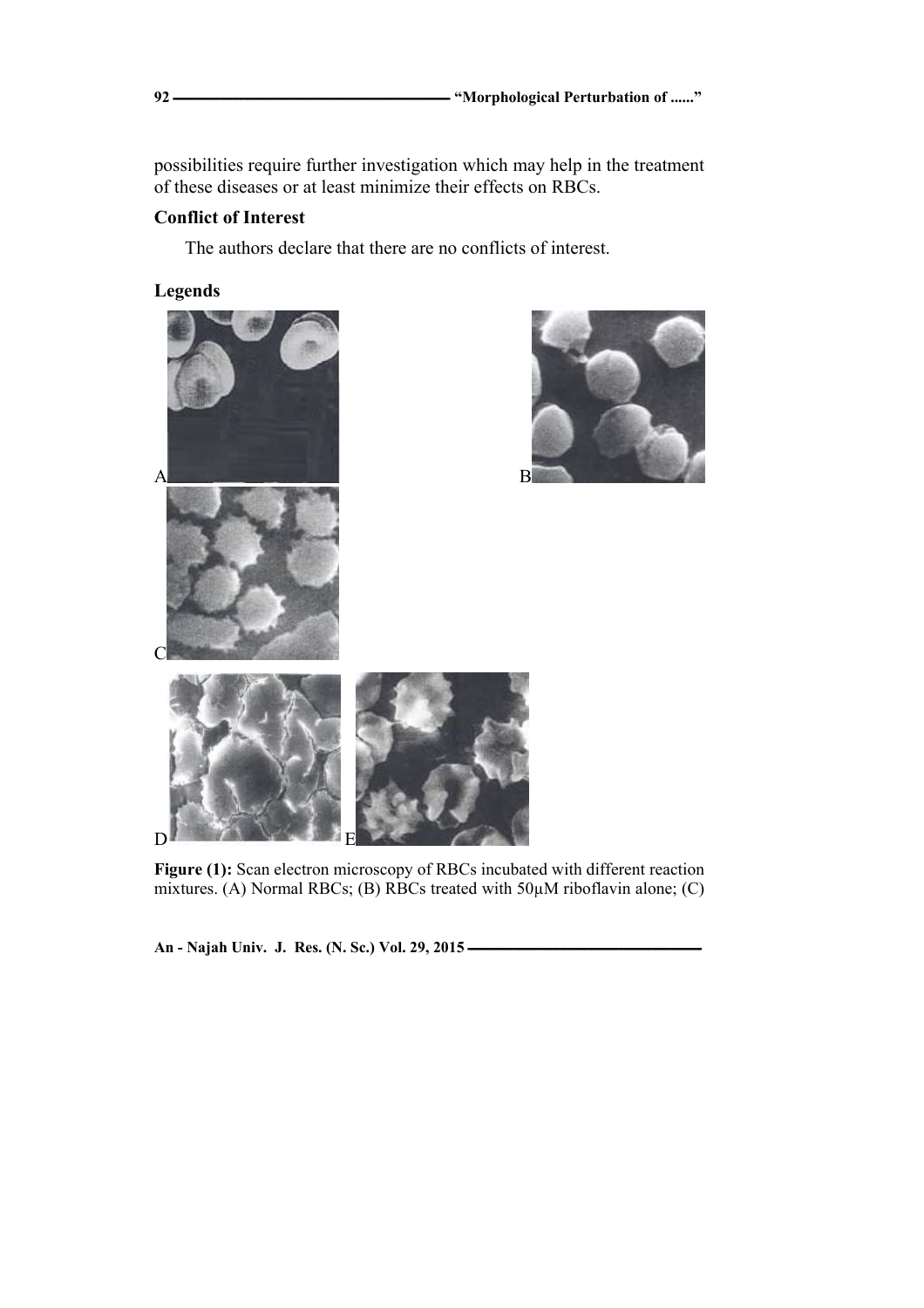possibilities require further investigation which may help in the treatment of these diseases or at least minimize their effects on RBCs.

# **Conflict of Interest**

The authors declare that there are no conflicts of interest.

# **Legends**





Figure (1): Scan electron microscopy of RBCs incubated with different reaction mixtures. (A) Normal RBCs; (B) RBCs treated with 50 $\mu$ M riboflavin alone; (C)

An - Najah Univ. J. Res. (N. Sc.) Vol. 29, 2015 -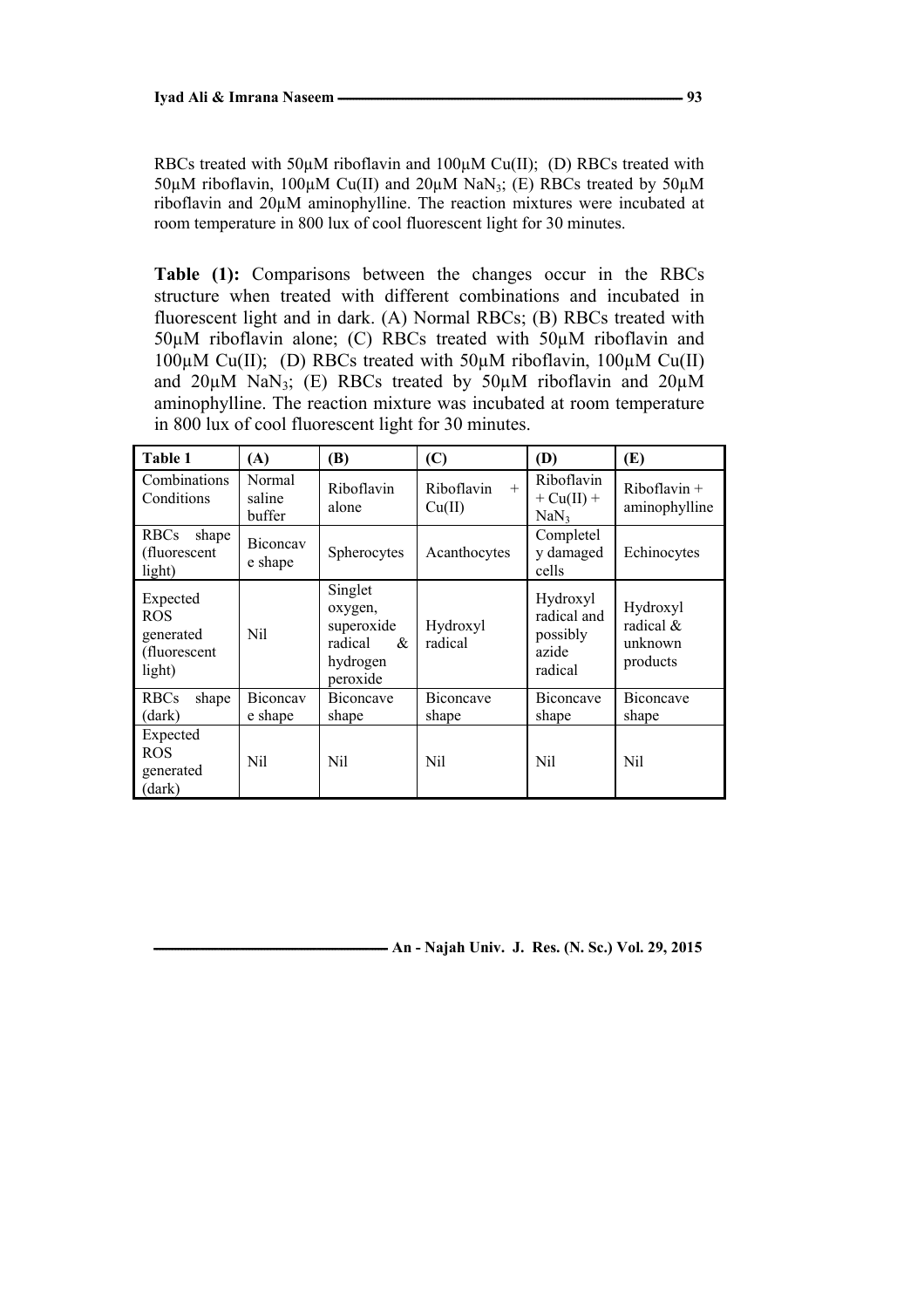RBCs treated with 50 $\mu$ M riboflavin and 100 $\mu$ M Cu(II); (D) RBCs treated with 50 $\mu$ M riboflavin, 100 $\mu$ M Cu(II) and 20 $\mu$ M NaN<sub>3</sub>; (E) RBCs treated by 50 $\mu$ M riboflavin and 20µM aminophylline. The reaction mixtures were incubated at room temperature in 800 lux of cool fluorescent light for 30 minutes.

**Table (1):** Comparisons between the changes occur in the RBCs structure when treated with different combinations and incubated in fluorescent light and in dark. (A) Normal RBCs; (B) RBCs treated with 50µM riboflavin alone; (C) RBCs treated with 50µM riboflavin and 100µM Cu(II); (D) RBCs treated with 50µM riboflavin, 100µM Cu(II) and  $20\mu$ M NaN<sub>3</sub>; (E) RBCs treated by  $50\mu$ M riboflavin and  $20\mu$ M aminophylline. The reaction mixture was incubated at room temperature in 800 lux of cool fluorescent light for 30 minutes.

| Table 1                                                       | (A)                        | (B)                                                                      | (C)                         | (D)                                                     | (E)                                          |
|---------------------------------------------------------------|----------------------------|--------------------------------------------------------------------------|-----------------------------|---------------------------------------------------------|----------------------------------------------|
| <b>Combinations</b><br>Conditions                             | Normal<br>saline<br>buffer | Riboflavin<br>alone                                                      | Riboflavin<br>$+$<br>Cu(II) | Riboflavin<br>$+ Cu(II) +$<br>NaN <sub>3</sub>          | $Riboflavin +$<br>aminophylline              |
| <b>RBCs</b><br>shape<br>(fluorescent<br>light)                | Biconcay<br>e shape        | Spherocytes                                                              | Acanthocytes                | Completel<br>y damaged<br>cells                         | Echinocytes                                  |
| Expected<br><b>ROS</b><br>generated<br>(fluorescent<br>light) | Nil                        | Singlet<br>oxygen,<br>superoxide<br>radical<br>&<br>hydrogen<br>peroxide | Hydroxyl<br>radical         | Hydroxyl<br>radical and<br>possibly<br>azide<br>radical | Hydroxyl<br>radical &<br>unknown<br>products |
| <b>RBCs</b><br>shape                                          | Biconcay                   | <b>Biconcave</b>                                                         | Biconcave                   | Biconcave                                               | Biconcave                                    |
| (dark)                                                        | e shape                    | shape                                                                    | shape                       | shape                                                   | shape                                        |
| Expected<br><b>ROS</b><br>generated<br>(dark)                 | Nil                        | Nil                                                                      | Nil                         | Nil                                                     | Nil                                          |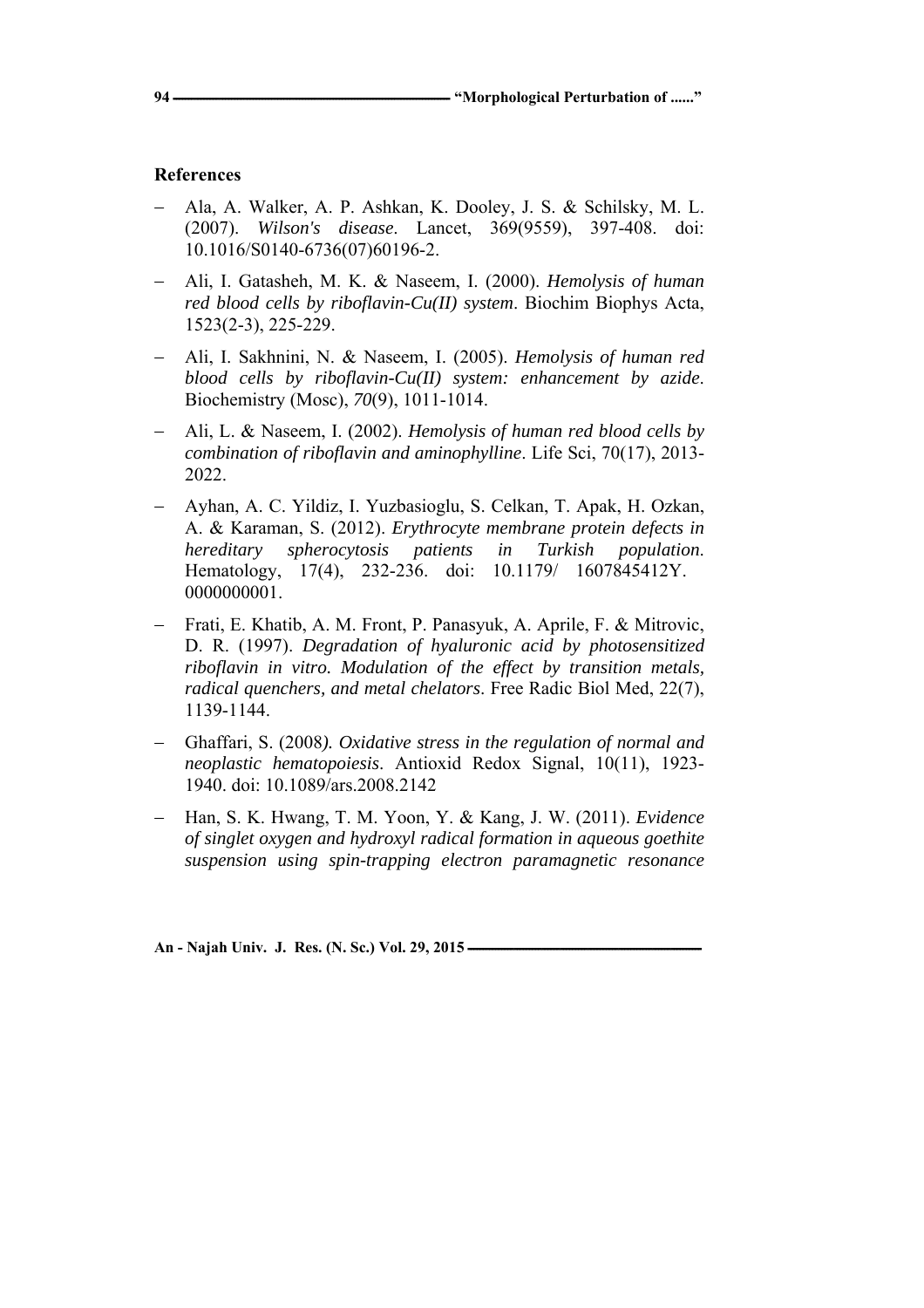# **References**

- − Ala, A. Walker, A. P. Ashkan, K. Dooley, J. S. & Schilsky, M. L. (2007). *Wilson's disease*. Lancet, 369(9559), 397-408. doi: 10.1016/S0140-6736(07)60196-2.
- − Ali, I. Gatasheh, M. K. & Naseem, I. (2000). *Hemolysis of human red blood cells by riboflavin-Cu(II) system*. Biochim Biophys Acta, 1523(2-3), 225-229.
- − Ali, I. Sakhnini, N. & Naseem, I. (2005). *Hemolysis of human red blood cells by riboflavin-Cu(II) system: enhancement by azide*. Biochemistry (Mosc), *70*(9), 1011-1014.
- − Ali, L. & Naseem, I. (2002). *Hemolysis of human red blood cells by combination of riboflavin and aminophylline*. Life Sci, 70(17), 2013- 2022.
- − Ayhan, A. C. Yildiz, I. Yuzbasioglu, S. Celkan, T. Apak, H. Ozkan, A. & Karaman, S. (2012). *Erythrocyte membrane protein defects in hereditary spherocytosis patients in Turkish population*. Hematology, 17(4), 232-236. doi: 10.1179/ 1607845412Y. 0000000001.
- − Frati, E. Khatib, A. M. Front, P. Panasyuk, A. Aprile, F. & Mitrovic, D. R. (1997). *Degradation of hyaluronic acid by photosensitized riboflavin in vitro. Modulation of the effect by transition metals, radical quenchers, and metal chelators*. Free Radic Biol Med, 22(7), 1139-1144.
- − Ghaffari, S. (2008*). Oxidative stress in the regulation of normal and neoplastic hematopoiesis*. Antioxid Redox Signal, 10(11), 1923- 1940. doi: 10.1089/ars.2008.2142
- − Han, S. K. Hwang, T. M. Yoon, Y. & Kang, J. W. (2011). *Evidence of singlet oxygen and hydroxyl radical formation in aqueous goethite suspension using spin-trapping electron paramagnetic resonance*

An - Najah Univ. J. Res. (N. Sc.) Vol. 29, 2015 -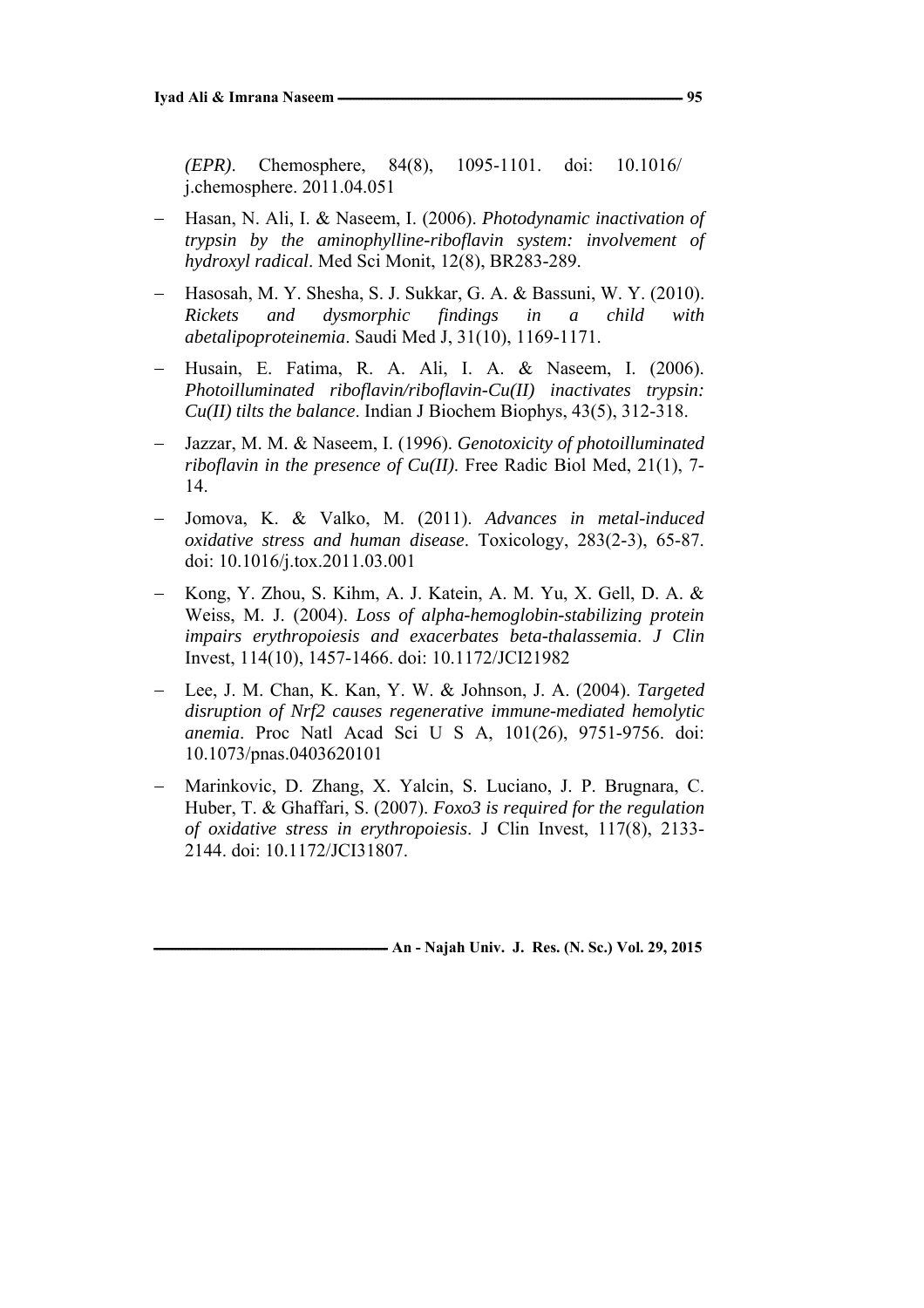*(EPR)*. Chemosphere, 84(8), 1095-1101. doi: 10.1016/ j.chemosphere. 2011.04.051

- − Hasan, N. Ali, I. & Naseem, I. (2006). *Photodynamic inactivation of trypsin by the aminophylline-riboflavin system: involvement of hydroxyl radical*. Med Sci Monit, 12(8), BR283-289.
- − Hasosah, M. Y. Shesha, S. J. Sukkar, G. A. & Bassuni, W. Y. (2010). *Rickets and dysmorphic findings in a child with abetalipoproteinemia*. Saudi Med J, 31(10), 1169-1171.
- − Husain, E. Fatima, R. A. Ali, I. A. & Naseem, I. (2006). *Photoilluminated riboflavin/riboflavin-Cu(II) inactivates trypsin: Cu(II) tilts the balance*. Indian J Biochem Biophys, 43(5), 312-318.
- − Jazzar, M. M. & Naseem, I. (1996). *Genotoxicity of photoilluminated riboflavin in the presence of Cu(II)*. Free Radic Biol Med, 21(1), 7- 14.
- − Jomova, K. & Valko, M. (2011). *Advances in metal-induced oxidative stress and human disease*. Toxicology, 283(2-3), 65-87. doi: 10.1016/j.tox.2011.03.001
- − Kong, Y. Zhou, S. Kihm, A. J. Katein, A. M. Yu, X. Gell, D. A. & Weiss, M. J. (2004). *Loss of alpha-hemoglobin-stabilizing protein impairs erythropoiesis and exacerbates beta-thalassemia*. *J Clin*  Invest, 114(10), 1457-1466. doi: 10.1172/JCI21982
- − Lee, J. M. Chan, K. Kan, Y. W. & Johnson, J. A. (2004). *Targeted disruption of Nrf2 causes regenerative immune-mediated hemolytic anemia*. Proc Natl Acad Sci U S A, 101(26), 9751-9756. doi: 10.1073/pnas.0403620101
- − Marinkovic, D. Zhang, X. Yalcin, S. Luciano, J. P. Brugnara, C. Huber, T. & Ghaffari, S. (2007). *Foxo3 is required for the regulation of oxidative stress in erythropoiesis*. J Clin Invest, 117(8), 2133- 2144. doi: 10.1172/JCI31807.